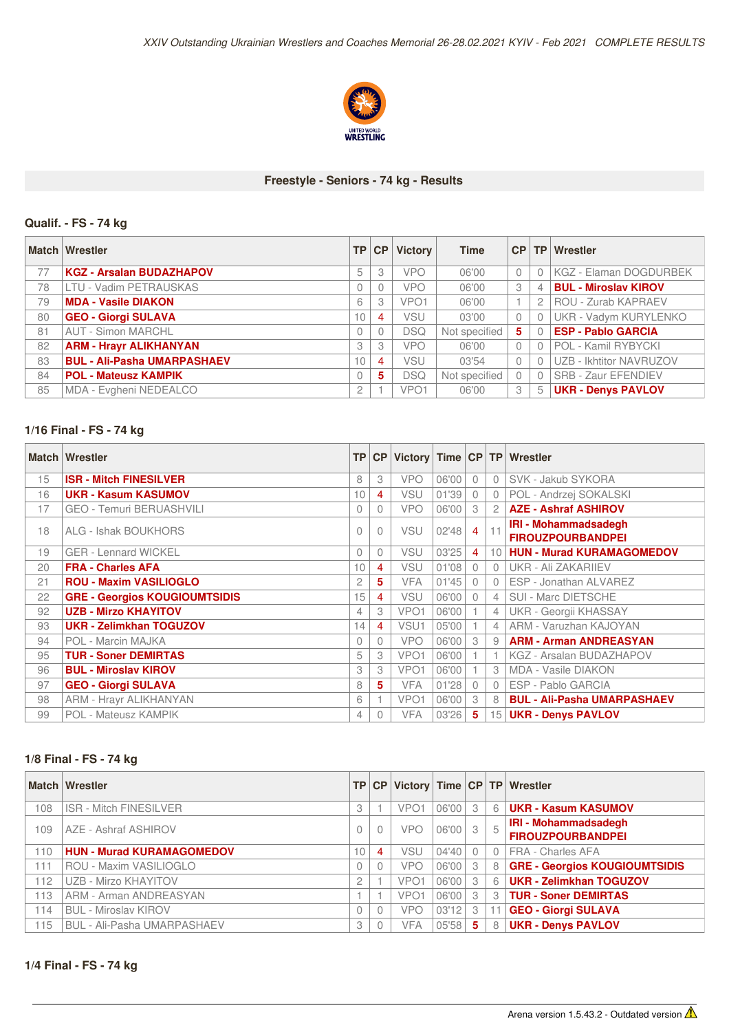

#### **Freestyle - Seniors - 74 kg - Results**

# **Qualif. - FS - 74 kg**

|    | Match Wrestler                     | <b>TP</b>       | CP       | <b>Victory</b>   | <b>Time</b>   | CP       |   | TP Wrestler                   |
|----|------------------------------------|-----------------|----------|------------------|---------------|----------|---|-------------------------------|
| 77 | <b>KGZ - Arsalan BUDAZHAPOV</b>    | 5               | 3        | <b>VPO</b>       | 06'00         | $\Omega$ |   | <b>KGZ - Elaman DOGDURBEK</b> |
| 78 | <b>LTU - Vadim PETRAUSKAS</b>      |                 | $\theta$ | <b>VPO</b>       | 06'00         | 3        |   | <b>BUL - Miroslav KIROV</b>   |
| 79 | <b>MDA - Vasile DIAKON</b>         | 6               | 3        | VPO <sub>1</sub> | 06'00         |          |   | ROU - Zurab KAPRAEV           |
| 80 | <b>GEO - Giorgi SULAVA</b>         | 10 <sup>1</sup> | 4        | <b>VSU</b>       | 03'00         | $\Omega$ |   | UKR - Vadym KURYLENKO         |
| 81 | <b>AUT - Simon MARCHL</b>          |                 | $\theta$ | <b>DSQ</b>       | Not specified | 5        |   | <b>ESP - Pablo GARCIA</b>     |
| 82 | <b>ARM - Hrayr ALIKHANYAN</b>      | 3               | 3        | <b>VPO</b>       | 06'00         | $\Omega$ |   | POL - Kamil RYBYCKI           |
| 83 | <b>BUL - Ali-Pasha UMARPASHAEV</b> | 10              | 4        | VSU              | 03'54         | $\Omega$ |   | UZB - Ikhtitor NAVRUZOV       |
| 84 | <b>POL - Mateusz KAMPIK</b>        |                 | 5        | <b>DSQ</b>       | Not specified |          |   | SRB - Zaur EFENDIEV           |
| 85 | MDA - Evgheni NEDEALCO             | $\mathbf{2}$    |          | VPO <sub>1</sub> | 06'00         | 3        | 5 | <b>UKR - Denys PAVLOV</b>     |

#### **1/16 Final - FS - 74 kg**

|    | <b>Match Wrestler</b>                | <b>TP</b> | CP       |                  |       |                |                | Victory Time CP TP Wrestler         |
|----|--------------------------------------|-----------|----------|------------------|-------|----------------|----------------|-------------------------------------|
| 15 | <b>ISR - Mitch FINESILVER</b>        | 8         | 3        | <b>VPO</b>       | 06'00 | $\Omega$       | $\cap$         | SVK - Jakub SYKORA                  |
| 16 | <b>UKR - Kasum KASUMOV</b>           | 10        | 4        | <b>VSU</b>       | 01'39 | $\mathbf{0}$   | 0              | POL - Andrzej SOKALSKI              |
| 17 | <b>GEO - Temuri BERUASHVILI</b>      | $\Omega$  | 0        | <b>VPO</b>       | 06'00 | 3              | $\mathbf{2}$   | <b>AZE - Ashraf ASHIROV</b>         |
| 18 | ALG - Ishak BOUKHORS                 | $\bigcap$ | $\Omega$ | <b>VSU</b>       | 02'48 | $\overline{4}$ |                | <b>IRI - Mohammadsadegh</b>         |
|    |                                      |           |          |                  |       |                |                | <b>FIROUZPOURBANDPEI</b>            |
| 19 | <b>GER - Lennard WICKEL</b>          | $\Omega$  | $\Omega$ | VSU              | 03'25 | $\overline{4}$ |                | 10 <b>HUN - Murad KURAMAGOMEDOV</b> |
| 20 | <b>FRA - Charles AFA</b>             | 10        | 4        | <b>VSU</b>       | 01'08 | $\bigcap$      | $\cap$         | UKR - Ali ZAKARIJEV                 |
| 21 | <b>ROU - Maxim VASILIOGLO</b>        | 2         | 5        | <b>VFA</b>       | 01'45 | $\bigcap$      | $\Omega$       | ESP - Jonathan ALVAREZ              |
| 22 | <b>GRE - Georgios KOUGIOUMTSIDIS</b> | 15        | 4        | VSU              | 06'00 | $\bigcap$      | 4 <sup>1</sup> | SUI - Marc DIETSCHE                 |
| 92 | <b>UZB - Mirzo KHAYITOV</b>          | 4         | 3        | VPO <sub>1</sub> | 06'00 |                | $\overline{4}$ | UKR - Georgii KHASSAY               |
| 93 | <b>UKR - Zelimkhan TOGUZOV</b>       | 14        | 4        | VSU1             | 05'00 |                | $\overline{4}$ | ARM - Varuzhan KAJOYAN              |
| 94 | POL - Marcin MAJKA                   | $\Omega$  | $\Omega$ | <b>VPO</b>       | 06'00 | 3              | 9              | <b>ARM - Arman ANDREASYAN</b>       |
| 95 | <b>TUR - Soner DEMIRTAS</b>          | 5         | 3        | VPO <sub>1</sub> | 06'00 |                |                | <b>KGZ - Arsalan BUDAZHAPOV</b>     |
| 96 | <b>BUL - Miroslav KIROV</b>          | 3         | 3        | VPO <sub>1</sub> | 06'00 |                | 3              | <b>MDA - Vasile DIAKON</b>          |
| 97 | <b>GEO - Giorgi SULAVA</b>           | 8         | 5        | <b>VFA</b>       | 01'28 | $\bigcap$      |                | ESP - Pablo GARCIA                  |
| 98 | <b>ARM - Hrayr ALIKHANYAN</b>        | 6         |          | VPO <sub>1</sub> | 06'00 | 3              | 8              | <b>BUL - Ali-Pasha UMARPASHAEV</b>  |
| 99 | POL - Mateusz KAMPIK                 | 4         | 0        | <b>VFA</b>       | 03'26 | 5              |                | 15   UKR - Denys PAVLOV             |

## **1/8 Final - FS - 74 kg**

|     | <b>Match Wrestler</b>              |                 | TP CP          |                  |           |     |                | Victory Time CP TP Wrestler                             |
|-----|------------------------------------|-----------------|----------------|------------------|-----------|-----|----------------|---------------------------------------------------------|
| 108 | <b>ISR - Mitch FINESILVER</b>      | 3               |                | VPO <sub>1</sub> | 06'00     | -3  |                | 6   UKR - Kasum KASUMOV                                 |
| 109 | AZE - Ashraf ASHIROV               | $\bigcap$       | $\Omega$       | <b>VPO</b>       | $06'00$ 3 |     | 5              | <b>IRI - Mohammadsadegh</b><br><b>FIROUZPOURBANDPEI</b> |
| 110 | <b>HUN - Murad KURAMAGOMEDOV</b>   | 10 <sup>1</sup> | $\overline{4}$ | VSU              | 04'40     |     |                | 0 FRA - Charles AFA                                     |
| 111 | ROU - Maxim VASILIOGLO             | 0               | 0              | <b>VPO</b>       | 06'00     | -3  |                | 8 GRE - Georgios KOUGIOUMTSIDIS                         |
| 112 | UZB - Mirzo KHAYITOV               | 2               |                | VPO <sub>1</sub> | 06'00     | - 3 | 6              | <b>UKR - Zelimkhan TOGUZOV</b>                          |
| 113 | <b>ARM - Arman ANDREASYAN</b>      |                 |                | VPO <sub>1</sub> | 06'00     | -3  | $\overline{3}$ | <b>TUR - Soner DEMIRTAS</b>                             |
| 114 | <b>BUL - Miroslav KIROV</b>        | $\Omega$        | $\Omega$       | <b>VPO</b>       | 03'12     | 3   |                | <b>GEO - Giorgi SULAVA</b>                              |
| 115 | <b>BUL - Ali-Pasha UMARPASHAEV</b> | 3               | 0              | <b>VFA</b>       | 05'58     | -5  | 8              | <b>UKR - Denys PAVLOV</b>                               |

### **1/4 Final - FS - 74 kg**